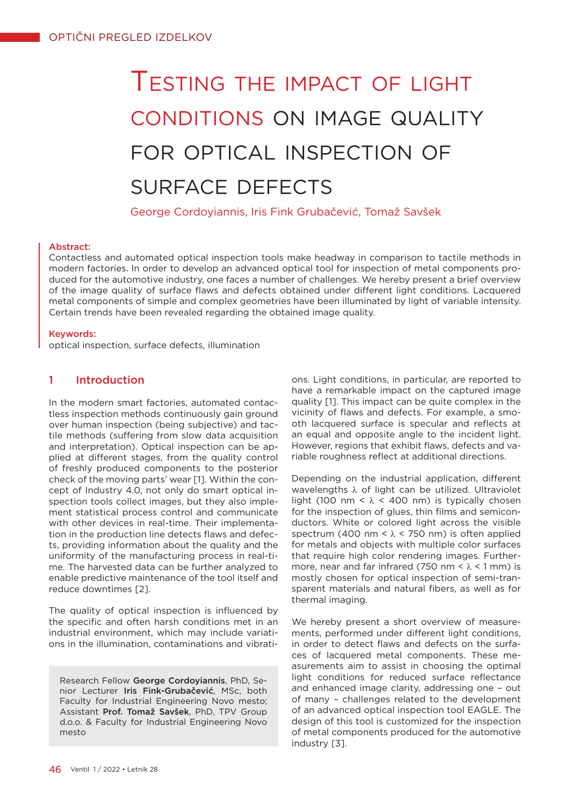# Testing the impact of light conditions on image quality for optical inspection of surface defects

George Cordoyiannis, Iris Fink Grubačević, Tomaž Savšek

#### Abstract:

Contactless and automated optical inspection tools make headway in comparison to tactile methods in modern factories. In order to develop an advanced optical tool for inspection of metal components produced for the automotive industry, one faces a number of challenges. We hereby present a brief overview of the image quality of surface flaws and defects obtained under different light conditions. Lacquered metal components of simple and complex geometries have been illuminated by light of variable intensity. Certain trends have been revealed regarding the obtained image quality.

#### Keywords:

optical inspection, surface defects, illumination

# 1 Introduction

In the modern smart factories, automated contactless inspection methods continuously gain ground over human inspection (being subjective) and tactile methods (suffering from slow data acquisition and interpretation). Optical inspection can be applied at different stages, from the quality control of freshly produced components to the posterior check of the moving parts' wear [1]. Within the concept of Industry 4.0, not only do smart optical inspection tools collect images, but they also implement statistical process control and communicate with other devices in real-time. Their implementation in the production line detects flaws and defects, providing information about the quality and the uniformity of the manufacturing process in real-time. The harvested data can be further analyzed to enable predictive maintenance of the tool itself and reduce downtimes [2].

The quality of optical inspection is influenced by the specific and often harsh conditions met in an industrial environment, which may include variations in the illumination, contaminations and vibrati-

Research Fellow George Cordoyiannis, PhD, Senior Lecturer Iris Fink-Grubačević, MSc, both Faculty for Industrial Engineering Novo mesto; Assistant Prof. Tomaž Savšek, PhD, TPV Group d.o.o. & Faculty for Industrial Engineering Novo mesto

ons. Light conditions, in particular, are reported to have a remarkable impact on the captured image quality [1]. This impact can be quite complex in the vicinity of flaws and defects. For example, a smooth lacquered surface is specular and reflects at an equal and opposite angle to the incident light. However, regions that exhibit flaws, defects and variable roughness reflect at additional directions.

Depending on the industrial application, different wavelengths λ of light can be utilized. Ultraviolet light (100 nm <  $\lambda$  < 400 nm) is typically chosen for the inspection of glues, thin films and semiconductors. White or colored light across the visible spectrum (400 nm <  $\lambda$  < 750 nm) is often applied for metals and objects with multiple color surfaces that require high color rendering images. Furthermore, near and far infrared (750 nm  $\leq \lambda \leq 1$  mm) is mostly chosen for optical inspection of semi-transparent materials and natural fibers, as well as for thermal imaging.

We hereby present a short overview of measurements, performed under different light conditions, in order to detect flaws and defects on the surfaces of lacquered metal components. These measurements aim to assist in choosing the optimal light conditions for reduced surface reflectance and enhanced image clarity, addressing one – out of many – challenges related to the development of an advanced optical inspection tool EAGLE. The design of this tool is customized for the inspection of metal components produced for the automotive industry [3].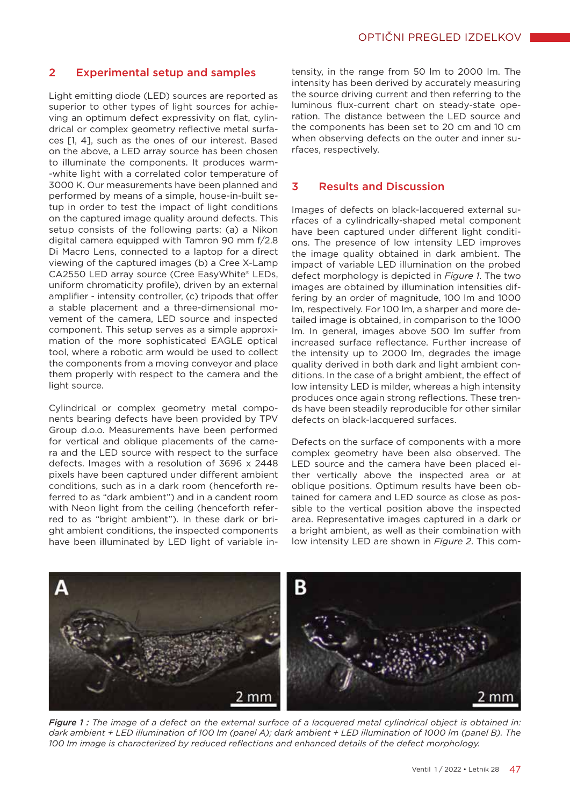## 2 Experimental setup and samples

Light emitting diode (LED) sources are reported as superior to other types of light sources for achieving an optimum defect expressivity on flat, cylindrical or complex geometry reflective metal surfaces [1, 4], such as the ones of our interest. Based on the above, a LED array source has been chosen to illuminate the components. It produces warm- -white light with a correlated color temperature of 3000 K. Our measurements have been planned and performed by means of a simple, house-in-built setup in order to test the impact of light conditions on the captured image quality around defects. This setup consists of the following parts: (a) a Nikon digital camera equipped with Tamron 90 mm f/2.8 Di Macro Lens, connected to a laptop for a direct viewing of the captured images (b) a Cree X-Lamp CA2550 LED array source (Cree EasyWhite® LEDs, uniform chromaticity profile), driven by an external amplifier - intensity controller, (c) tripods that offer a stable placement and a three-dimensional movement of the camera, LED source and inspected component. This setup serves as a simple approximation of the more sophisticated EAGLE optical tool, where a robotic arm would be used to collect the components from a moving conveyor and place them properly with respect to the camera and the light source.

Cylindrical or complex geometry metal components bearing defects have been provided by TPV Group d.o.o. Measurements have been performed for vertical and oblique placements of the camera and the LED source with respect to the surface defects. Images with a resolution of 3696 x 2448 pixels have been captured under different ambient conditions, such as in a dark room (henceforth referred to as "dark ambient") and in a candent room with Neon light from the ceiling (henceforth referred to as "bright ambient"). In these dark or bright ambient conditions, the inspected components have been illuminated by LED light of variable in-

tensity, in the range from 50 lm to 2000 lm. The intensity has been derived by accurately measuring the source driving current and then referring to the luminous flux-current chart on steady-state operation. The distance between the LED source and the components has been set to 20 cm and 10 cm when observing defects on the outer and inner surfaces, respectively.

## 3 Results and Discussion

Images of defects on black-lacquered external surfaces of a cylindrically-shaped metal component have been captured under different light conditions. The presence of low intensity LED improves the image quality obtained in dark ambient. The impact of variable LED illumination on the probed defect morphology is depicted in *Figure 1*. The two images are obtained by illumination intensities differing by an order of magnitude, 100 lm and 1000 lm, respectively. For 100 lm, a sharper and more detailed image is obtained, in comparison to the 1000 lm. In general, images above 500 lm suffer from increased surface reflectance. Further increase of the intensity up to 2000 lm, degrades the image quality derived in both dark and light ambient conditions. In the case of a bright ambient, the effect of low intensity LED is milder, whereas a high intensity produces once again strong reflections. These trends have been steadily reproducible for other similar defects on black-lacquered surfaces.

Defects on the surface of components with a more complex geometry have been also observed. The LED source and the camera have been placed either vertically above the inspected area or at oblique positions. Optimum results have been obtained for camera and LED source as close as possible to the vertical position above the inspected area. Representative images captured in a dark or a bright ambient, as well as their combination with low intensity LED are shown in *Figure 2*. This com-



*Figure 1 : The image of a defect on the external surface of a lacquered metal cylindrical object is obtained in: dark ambient + LED illumination of 100 lm (panel A); dark ambient + LED illumination of 1000 lm (panel B). The 100 lm image is characterized by reduced reflections and enhanced details of the defect morphology.*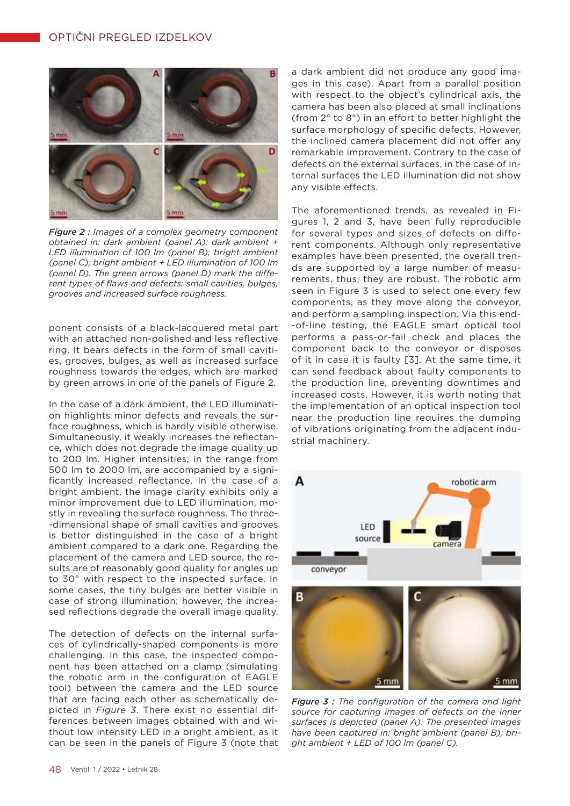

*Figure 2 : Images of a complex geometry component obtained in: dark ambient (panel A); dark ambient + LED illumination of 100 lm (panel B); bright ambient (panel C); bright ambient + LED illumination of 100 lm (panel D). The green arrows (panel D) mark the different types of flaws and defects: small cavities, bulges, grooves and increased surface roughness.* 

ponent consists of a black-lacquered metal part with an attached non-polished and less reflective ring. It bears defects in the form of small cavities, grooves, bulges, as well as increased surface roughness towards the edges, which are marked by green arrows in one of the panels of Figure 2.

In the case of a dark ambient, the LED illumination highlights minor defects and reveals the surface roughness, which is hardly visible otherwise. Simultaneously, it weakly increases the reflectance, which does not degrade the image quality up to 200 lm. Higher intensities, in the range from 500 lm to 2000 lm, are accompanied by a significantly increased reflectance. In the case of a bright ambient, the image clarity exhibits only a minor improvement due to LED illumination, mostly in revealing the surface roughness. The three- -dimensional shape of small cavities and grooves is better distinguished in the case of a bright ambient compared to a dark one. Regarding the placement of the camera and LED source, the results are of reasonably good quality for angles up to 30° with respect to the inspected surface. In some cases, the tiny bulges are better visible in case of strong illumination; however, the increased reflections degrade the overall image quality.

The detection of defects on the internal surfaces of cylindrically-shaped components is more challenging. In this case, the inspected component has been attached on a clamp (simulating the robotic arm in the configuration of EAGLE tool) between the camera and the LED source that are facing each other as schematically depicted in *Figure 3*. There exist no essential differences between images obtained with and without low intensity LED in a bright ambient, as it can be seen in the panels of Figure 3 (note that

a dark ambient did not produce any good images in this case). Apart from a parallel position with respect to the object's cylindrical axis, the camera has been also placed at small inclinations (from 2° to 8°) in an effort to better highlight the surface morphology of specific defects. However, the inclined camera placement did not offer any remarkable improvement. Contrary to the case of defects on the external surfaces, in the case of internal surfaces the LED illumination did not show any visible effects.

The aforementioned trends, as revealed in Figures 1, 2 and 3, have been fully reproducible for several types and sizes of defects on different components. Although only representative examples have been presented, the overall trends are supported by a large number of measurements, thus, they are robust. The robotic arm seen in Figure 3 is used to select one every few components, as they move along the conveyor, and perform a sampling inspection. Via this end- -of-line testing, the EAGLE smart optical tool performs a pass-or-fail check and places the component back to the conveyor or disposes of it in case it is faulty [3]. At the same time, it can send feedback about faulty components to the production line, preventing downtimes and increased costs. However, it is worth noting that the implementation of an optical inspection tool near the production line requires the dumping of vibrations originating from the adjacent industrial machinery.



*Figure 3 : The configuration of the camera and light source for capturing images of defects on the inner surfaces is depicted (panel A). The presented images have been captured in: bright ambient (panel B); bright ambient + LED of 100 lm (panel C).*